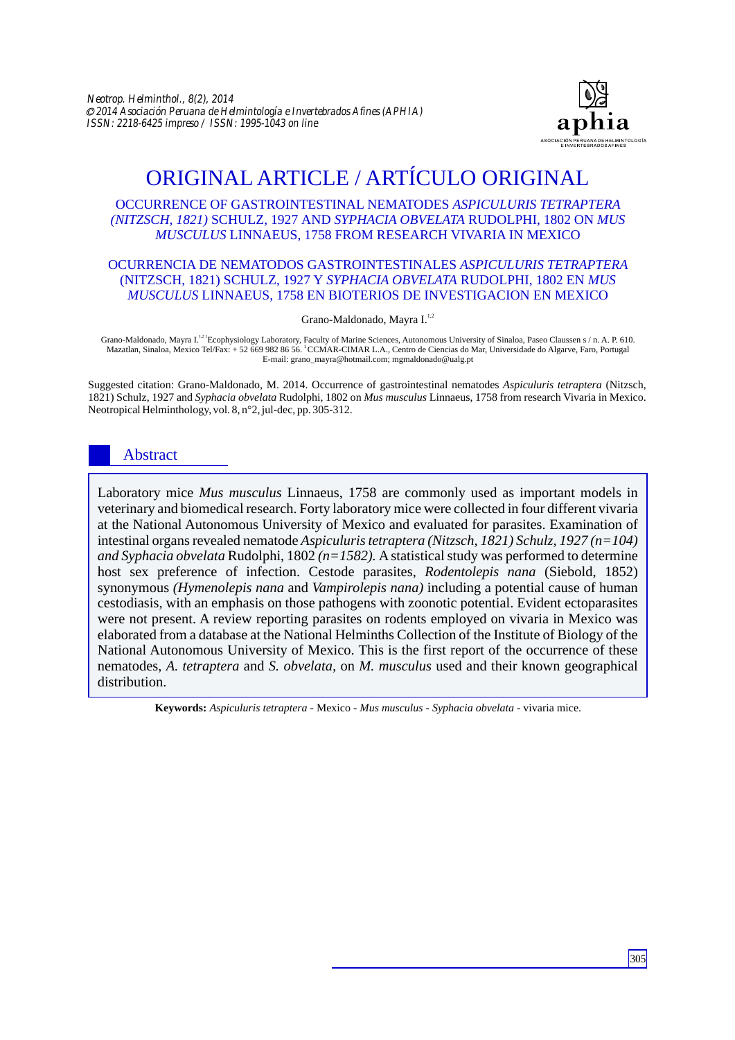

# ORIGINAL ARTICLE / ARTÍCULO ORIGINAL

#### OCCURRENCE OF GASTROINTESTINAL NEMATODES *ASPICULURIS TETRAPTERA (NITZSCH, 1821)* SCHULZ, 1927 AND *SYPHACIA OBVELATA* RUDOLPHI, 1802 ON *MUS MUSCULUS* LINNAEUS, 1758 FROM RESEARCH VIVARIA IN MEXICO

#### OCURRENCIA DE NEMATODOS GASTROINTESTINALES *ASPICULURIS TETRAPTERA* (NITZSCH, 1821) SCHULZ, 1927 Y *SYPHACIA OBVELATA* RUDOLPHI, 1802 EN *MUS MUSCULUS* LINNAEUS, 1758 EN BIOTERIOS DE INVESTIGACION EN MEXICO

Grano-Maldonado, Mayra I.<sup>1,2</sup>

Grano-Maldonado, Mayra I.<sup>121</sup> Ecophysiology Laboratory, Faculty of Marine Sciences, Autonomous University of Sinaloa, Paseo Claussen s / n. A. P. 610. <sup>2</sup>Mazatlan, Sinaloa, Mexico Tel/Fax: + 52 669 982 86 56. CCMAR-CIMAR L.A., Centro de Ciencias do Mar, Universidade do Algarve, Faro, Portugal E-mail: grano\_mayra@hotmail.com; mgmaldonado@ualg.pt

Suggested citation: Grano-Maldonado, M. 2014. Occurrence of gastrointestinal nematodes *Aspiculuris tetraptera* (Nitzsch, 1821) Schulz, 1927 and *Syphacia obvelata* Rudolphi, 1802 on *Mus musculus* Linnaeus, 1758 from research Vivaria in Mexico. Neotropical Helminthology, vol. 8, n°2, jul-dec, pp. 305-312.

## Abstract

Laboratory mice *Mus musculus* Linnaeus, 1758 are commonly used as important models in veterinary and biomedical research. Forty laboratory mice were collected in four different vivaria at the National Autonomous University of Mexico and evaluated for parasites. Examination of intestinal organs revealed nematode *Aspiculuris tetraptera (Nitzsch, 1821) Schulz, 1927 (n=104) and Syphacia obvelata* Rudolphi, 1802 *(n=1582).* Astatistical study was performed to determine host sex preference of infection. Cestode parasites, *Rodentolepis nana* (Siebold, 1852) synonymous *(Hymenolepis nana* and *Vampirolepis nana)* including a potential cause of human cestodiasis, with an emphasis on those pathogens with zoonotic potential. Evident ectoparasites were not present. A review reporting parasites on rodents employed on vivaria in Mexico was elaborated from a database at the National Helminths Collection of the Institute of Biology of the National Autonomous University of Mexico. This is the first report of the occurrence of these nematodes, *A. tetraptera* and *S. obvelata,* on *M. musculus* used and their known geographical distribution.

**Keywords:** *Aspiculuris tetraptera* - Mexico *- Mus musculus - Syphacia obvelata -* vivaria mice.

305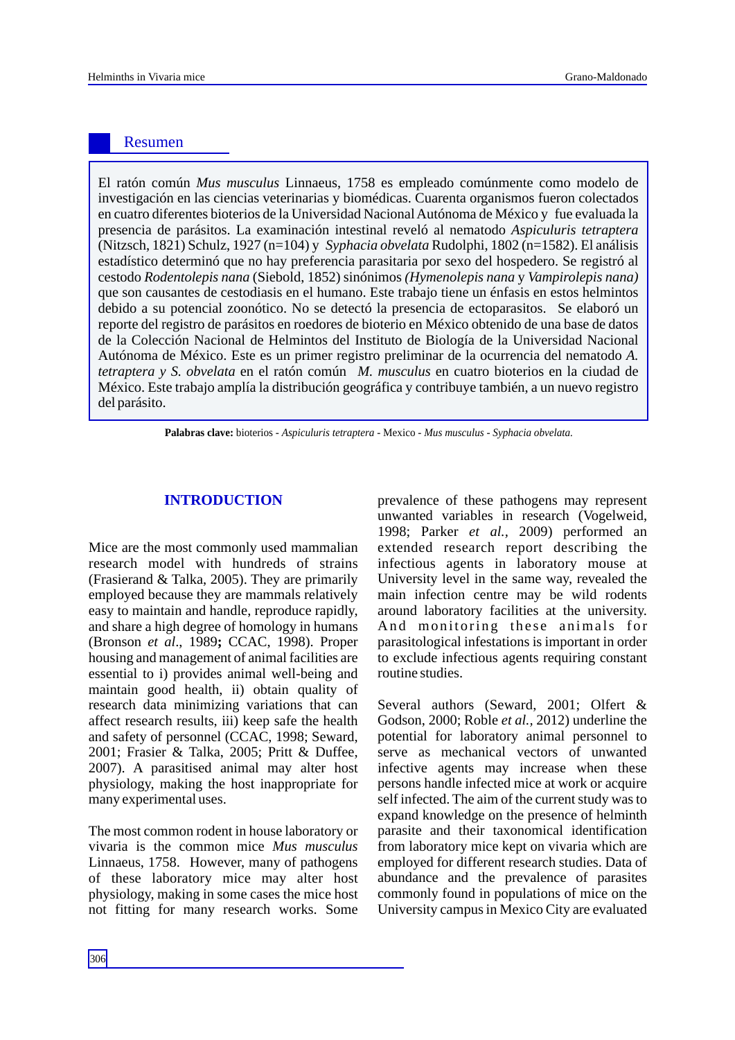### Resumen

El ratón común *Mus musculus* Linnaeus, 1758 es empleado comúnmente como modelo de investigación en las ciencias veterinarias y biomédicas. Cuarenta organismos fueron colectados en cuatro diferentes bioterios de la Universidad Nacional Autónoma de México y fue evaluada la presencia de parásitos. La examinación intestinal reveló al nematodo *Aspiculuris tetraptera*  (Nitzsch, 1821) Schulz, 1927 (n=104) y *Syphacia obvelata* Rudolphi, 1802 (n=1582). El análisis estadístico determinó que no hay preferencia parasitaria por sexo del hospedero. Se registró al cestodo *Rodentolepis nana* (Siebold, 1852) sinónimos *(Hymenolepis nana* y *Vampirolepis nana)* que son causantes de cestodiasis en el humano. Este trabajo tiene un énfasis en estos helmintos debido a su potencial zoonótico. No se detectó la presencia de ectoparasitos. Se elaboró un reporte del registro de parásitos en roedores de bioterio en México obtenido de una base de datos de la Colección Nacional de Helmintos del Instituto de Biología de la Universidad Nacional Autónoma de México. Este es un primer registro preliminar de la ocurrencia del nematodo *A. tetraptera y S. obvelata* en el ratón común *M. musculus* en cuatro bioterios en la ciudad de México. Este trabajo amplía la distribución geográfica y contribuye también, a un nuevo registro del parásito.

**Palabras clave:** bioterios - *Aspiculuris tetraptera -* Mexico *- Mus musculus - Syphacia obvelata.* 

Mice are the most commonly used mammalian research model with hundreds of strains (Frasierand & Talka, 2005). They are primarily employed because they are mammals relatively easy to maintain and handle, reproduce rapidly, and share a high degree of homology in humans (Bronson *et al*., 1989**;** CCAC, 1998). Proper housing and management of animal facilities are essential to i) provides animal well-being and maintain good health, ii) obtain quality of research data minimizing variations that can affect research results, iii) keep safe the health and safety of personnel (CCAC, 1998; Seward, 2001; Frasier & Talka, 2005; Pritt & Duffee, 2007). A parasitised animal may alter host physiology, making the host inappropriate for many experimental uses.

The most common rodent in house laboratory or vivaria is the common mice *Mus musculus* Linnaeus, 1758. However, many of pathogens of these laboratory mice may alter host physiology, making in some cases the mice host not fitting for many research works. Some

**INTRODUCTION** prevalence of these pathogens may represent unwanted variables in research (Vogelweid, 1998; Parker *et al.,* 2009) performed an extended research report describing the infectious agents in laboratory mouse at University level in the same way, revealed the main infection centre may be wild rodents around laboratory facilities at the university. And monitoring these animals for parasitological infestations is important in order to exclude infectious agents requiring constant routine studies.

> Several authors (Seward, 2001; Olfert & Godson, 2000; Roble *et al.,* 2012) underline the potential for laboratory animal personnel to serve as mechanical vectors of unwanted infective agents may increase when these persons handle infected mice at work or acquire self infected. The aim of the current study was to expand knowledge on the presence of helminth parasite and their taxonomical identification from laboratory mice kept on vivaria which are employed for different research studies. Data of abundance and the prevalence of parasites commonly found in populations of mice on the University campus in Mexico City are evaluated

306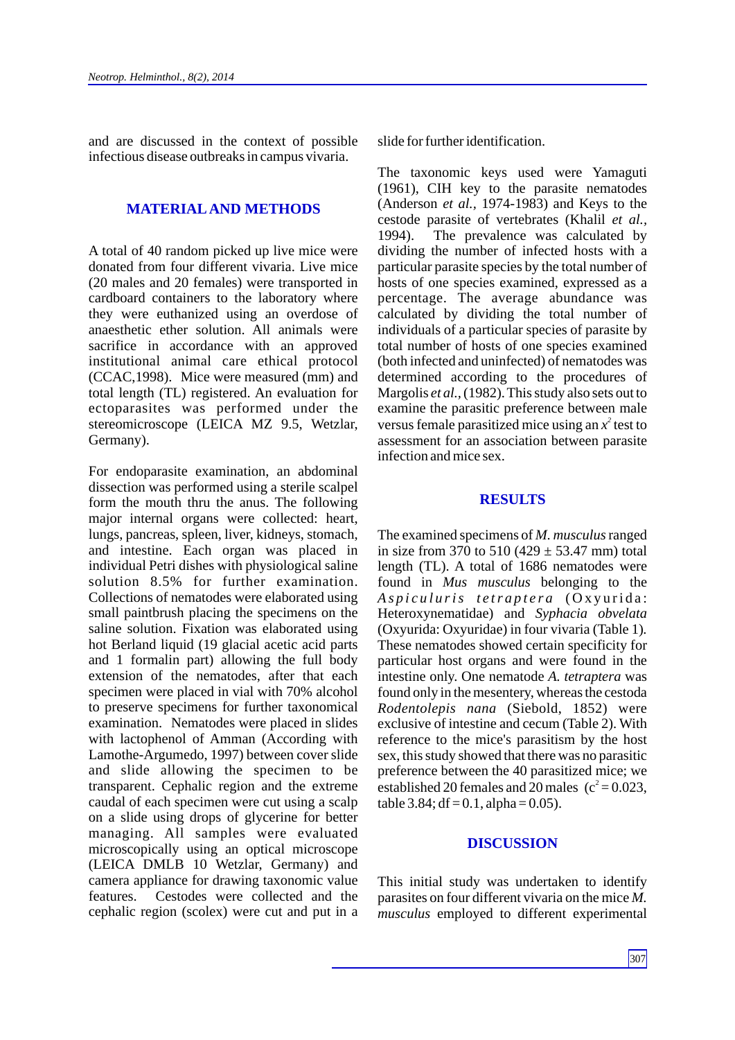and are discussed in the context of possible infectious disease outbreaks in campus vivaria.

#### **MATERIALAND METHODS**

A total of 40 random picked up live mice were donated from four different vivaria. Live mice (20 males and 20 females) were transported in cardboard containers to the laboratory where they were euthanized using an overdose of anaesthetic ether solution. All animals were sacrifice in accordance with an approved institutional animal care ethical protocol (CCAC,1998). Mice were measured (mm) and total length (TL) registered. An evaluation for ectoparasites was performed under the stereomicroscope (LEICA MZ 9.5, Wetzlar, Germany).

For endoparasite examination, an abdominal dissection was performed using a sterile scalpel form the mouth thru the anus. The following major internal organs were collected: heart, lungs, pancreas, spleen, liver, kidneys, stomach, and intestine. Each organ was placed in individual Petri dishes with physiological saline solution 8.5% for further examination. Collections of nematodes were elaborated using small paintbrush placing the specimens on the saline solution. Fixation was elaborated using hot Berland liquid (19 glacial acetic acid parts and 1 formalin part) allowing the full body extension of the nematodes, after that each specimen were placed in vial with 70% alcohol to preserve specimens for further taxonomical examination. Nematodes were placed in slides with lactophenol of Amman (According with Lamothe-Argumedo, 1997) between cover slide and slide allowing the specimen to be transparent. Cephalic region and the extreme caudal of each specimen were cut using a scalp on a slide using drops of glycerine for better managing. All samples were evaluated microscopically using an optical microscope (LEICA DMLB 10 Wetzlar, Germany) and camera appliance for drawing taxonomic value features. Cestodes were collected and the cephalic region (scolex) were cut and put in a

slide for further identification.

The taxonomic keys used were Yamaguti (1961), CIH key to the parasite nematodes (Anderson *et al.,* 1974-1983) and Keys to the cestode parasite of vertebrates (Khalil *et al.,* 1994). The prevalence was calculated by dividing the number of infected hosts with a particular parasite species by the total number of hosts of one species examined, expressed as a percentage. The average abundance was calculated by dividing the total number of individuals of a particular species of parasite by total number of hosts of one species examined (both infected and uninfected) of nematodes was determined according to the procedures of Margolis *et al.,*(1982). This study also sets out to examine the parasitic preference between male versus female parasitized mice using an  $x^2$  test to assessment for an association between parasite infection and mice sex.

#### **RESULTS**

The examined specimens of *M. musculus*ranged in size from 370 to 510  $(429 \pm 53.47 \text{ mm})$  total length (TL). A total of 1686 nematodes were found in *Mus musculus* belonging to the *As p i c u l u ris t e tr a p t e r a* ( O x y u ri d a : Heteroxynematidae) and *Syphacia obvelata*  (Oxyurida: Oxyuridae) in four vivaria (Table 1)*.*  These nematodes showed certain specificity for particular host organs and were found in the intestine only. One nematode *A. tetraptera* was found only in the mesentery, whereas the cestoda *Rodentolepis nana* (Siebold, 1852) were exclusive of intestine and cecum (Table 2). With reference to the mice's parasitism by the host sex, this study showed that there was no parasitic preference between the 40 parasitized mice; we established 20 females and 20 males ( $c^2$  = 0.023, table 3.84; df =  $0.1$ , alpha =  $0.05$ ).

#### **DISCUSSION**

This initial study was undertaken to identify parasites on four different vivaria on the mice *M. musculus* employed to different experimental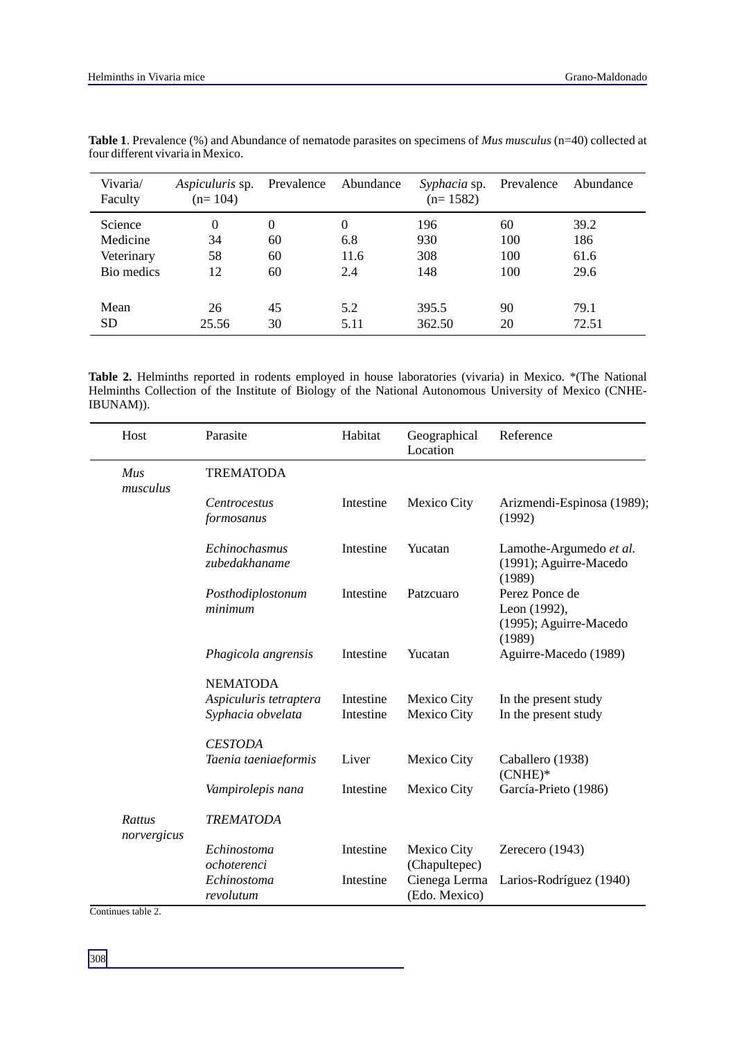| Vivaria/<br>Faculty | <i>Aspiculuris</i> sp.<br>$(n=104)$ | Prevalence       | Abundance | <i>Syphacia</i> sp.<br>$(n=1582)$ | Prevalence | Abundance |
|---------------------|-------------------------------------|------------------|-----------|-----------------------------------|------------|-----------|
| Science             | $\theta$                            | $\boldsymbol{0}$ | 0         | 196                               | 60         | 39.2      |
| Medicine            | 34                                  | 60               | 6.8       | 930                               | 100        | 186       |
| Veterinary          | 58                                  | 60               | 11.6      | 308                               | 100        | 61.6      |
| Bio medics          | 12                                  | 60               | 2.4       | 148                               | 100        | 29.6      |
|                     |                                     |                  |           |                                   |            |           |
| Mean                | 26                                  | 45               | 5.2       | 395.5                             | 90         | 79.1      |
| <b>SD</b>           | 25.56                               | 30               | 5.11      | 362.50                            | 20         | 72.51     |

**Table 1**. Prevalence (%) and Abundance of nematode parasites on specimens of *Mus musculus* (n=40) collected at four different vivaria in Mexico.

**Table 2.** Helminths reported in rodents employed in house laboratories (vivaria) in Mexico. \*(The National Helminths Collection of the Institute of Biology of the National Autonomous University of Mexico (CNHE-IBUNAM)).

| Host                  | Parasite                          | Habitat   | Geographical<br>Location       | Reference                                                          |  |  |  |
|-----------------------|-----------------------------------|-----------|--------------------------------|--------------------------------------------------------------------|--|--|--|
| Mus<br>musculus       | <b>TREMATODA</b>                  |           |                                |                                                                    |  |  |  |
|                       | <i>Centrocestus</i><br>formosanus | Intestine | Mexico City                    | Arizmendi-Espinosa (1989);<br>(1992)                               |  |  |  |
|                       | Echinochasmus<br>zubedakhaname    | Intestine | Yucatan                        | Lamothe-Argumedo et al.<br>(1991); Aguirre-Macedo<br>(1989)        |  |  |  |
|                       | Posthodiplostonum<br>minimum      | Intestine | Patzcuaro                      | Perez Ponce de<br>Leon (1992),<br>(1995); Aguirre-Macedo<br>(1989) |  |  |  |
|                       | Phagicola angrensis               | Intestine | Yucatan                        | Aguirre-Macedo (1989)                                              |  |  |  |
|                       | <b>NEMATODA</b>                   |           |                                |                                                                    |  |  |  |
|                       | Aspiculuris tetraptera            | Intestine | Mexico City                    | In the present study                                               |  |  |  |
|                       | Syphacia obvelata                 | Intestine | Mexico City                    | In the present study                                               |  |  |  |
|                       | <b>CESTODA</b>                    |           |                                |                                                                    |  |  |  |
|                       | Taenia taeniaeformis              | Liver     | Mexico City                    | Caballero (1938)<br>$(CNHE)^*$                                     |  |  |  |
|                       | Vampirolepis nana                 | Intestine | Mexico City                    | García-Prieto (1986)                                               |  |  |  |
| Rattus<br>norvergicus | <b>TREMATODA</b>                  |           |                                |                                                                    |  |  |  |
|                       | Echinostoma<br>ochoterenci        | Intestine | Mexico City<br>(Chapultepec)   | Zerecero (1943)                                                    |  |  |  |
|                       | Echinostoma<br>revolutum          | Intestine | Cienega Lerma<br>(Edo. Mexico) | Larios-Rodríguez (1940)                                            |  |  |  |

Continues table 2.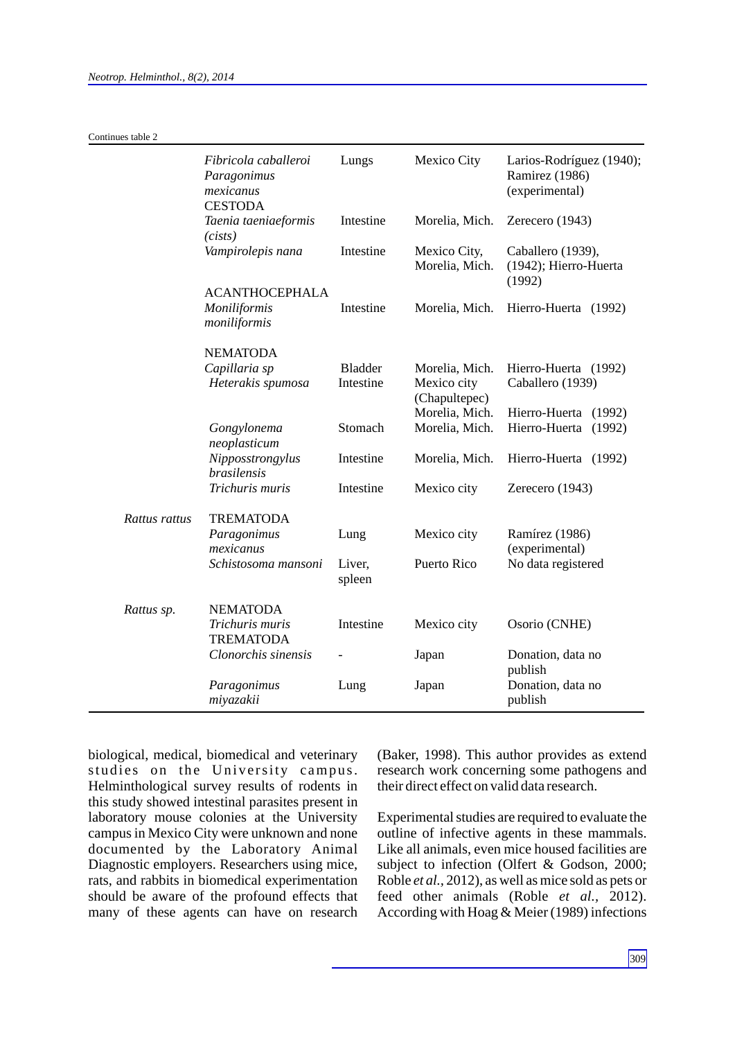|               | Fibricola caballeroi<br>Paragonimus<br>mexicanus  | Lungs            | Mexico City                    | Larios-Rodríguez (1940);<br>Ramirez (1986)<br>(experimental) |  |
|---------------|---------------------------------------------------|------------------|--------------------------------|--------------------------------------------------------------|--|
|               | <b>CESTODA</b><br>Taenia taeniaeformis<br>(cists) | Intestine        | Morelia, Mich.                 | Zerecero (1943)                                              |  |
|               | Vampirolepis nana                                 | Intestine        | Mexico City,<br>Morelia, Mich. | Caballero (1939),<br>(1942); Hierro-Huerta<br>(1992)         |  |
|               | <b>ACANTHOCEPHALA</b>                             |                  |                                |                                                              |  |
|               | Moniliformis<br>moniliformis                      | Intestine        | Morelia, Mich.                 | Hierro-Huerta (1992)                                         |  |
|               | <b>NEMATODA</b>                                   |                  |                                |                                                              |  |
|               | Capillaria sp                                     | <b>Bladder</b>   | Morelia, Mich.                 | Hierro-Huerta (1992)                                         |  |
|               | Heterakis spumosa                                 | Intestine        | Mexico city<br>(Chapultepec)   | Caballero (1939)                                             |  |
|               |                                                   |                  | Morelia, Mich.                 | Hierro-Huerta (1992)                                         |  |
|               | Gongylonema<br>neoplasticum                       | Stomach          | Morelia, Mich.                 | Hierro-Huerta (1992)                                         |  |
|               | Nipposstrongylus<br><i>brasilensis</i>            | Intestine        | Morelia, Mich.                 | Hierro-Huerta (1992)                                         |  |
|               | Trichuris muris                                   | Intestine        | Mexico city                    | Zerecero (1943)                                              |  |
| Rattus rattus | <b>TREMATODA</b>                                  |                  |                                |                                                              |  |
|               | Paragonimus<br>mexicanus                          | Lung             | Mexico city                    | Ramírez (1986)<br>(experimental)                             |  |
|               | Schistosoma mansoni                               | Liver,<br>spleen | Puerto Rico                    | No data registered                                           |  |
| Rattus sp.    | <b>NEMATODA</b>                                   |                  |                                |                                                              |  |
|               | Trichuris muris<br><b>TREMATODA</b>               | Intestine        | Mexico city                    | Osorio (CNHE)                                                |  |
|               | Clonorchis sinensis                               |                  | Japan                          | Donation, data no<br>publish                                 |  |
|               | Paragonimus<br>miyazakii                          | Lung             | Japan                          | Donation, data no<br>publish                                 |  |

biological, medical, biomedical and veterinary studies on the University campus. Helminthological survey results of rodents in this study showed intestinal parasites present in laboratory mouse colonies at the University campus in Mexico City were unknown and none documented by the Laboratory Animal Diagnostic employers. Researchers using mice, rats, and rabbits in biomedical experimentation should be aware of the profound effects that many of these agents can have on research (Baker, 1998). This author provides as extend research work concerning some pathogens and their direct effect on valid data research.

Experimental studies are required to evaluate the outline of infective agents in these mammals. Like all animals, even mice housed facilities are subject to infection (Olfert & Godson, 2000; Roble *et al.,* 2012), as well as mice sold as pets or feed other animals (Roble *et al.,* 2012). According with Hoag & Meier (1989) infections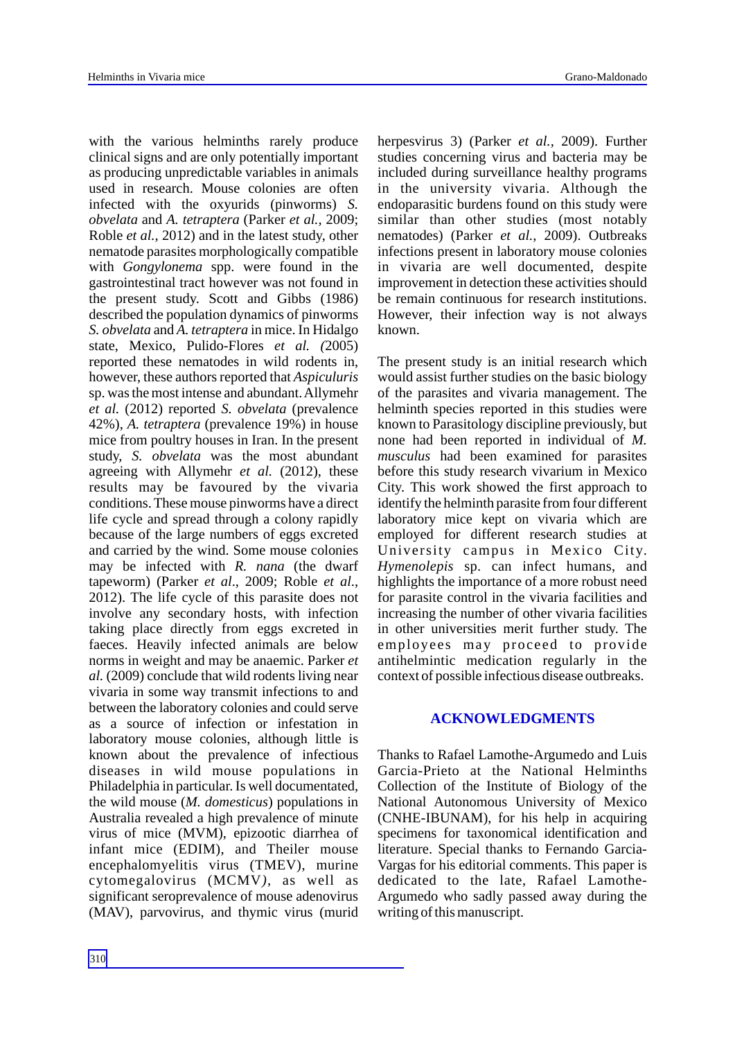with the various helminths rarely produce clinical signs and are only potentially important as producing unpredictable variables in animals used in research. Mouse colonies are often infected with the oxyurids (pinworms) *S. obvelata* and *A. tetraptera* (Parker *et al.,* 2009; Roble *et al.,* 2012) and in the latest study, other nematode parasites morphologically compatible with *Gongylonema* spp. were found in the gastrointestinal tract however was not found in the present study. Scott and Gibbs (1986) described the population dynamics of pinworms *S. obvelata* and *A. tetraptera* in mice. In Hidalgo state, Mexico, Pulido-Flores *et al. (*2005) reported these nematodes in wild rodents in, however, these authors reported that *Aspiculuris* sp. was the most intense and abundant. Allymehr *et al.* (2012) reported *S. obvelata* (prevalence 42%), *A. tetraptera* (prevalence 19%) in house mice from poultry houses in Iran. In the present study, *S. obvelata* was the most abundant agreeing with Allymehr *et al.* (2012), these results may be favoured by the vivaria conditions. These mouse pinworms have a direct life cycle and spread through a colony rapidly because of the large numbers of eggs excreted and carried by the wind. Some mouse colonies may be infected with *R. nana* (the dwarf tapeworm) (Parker *et al*., 2009; Roble *et al*., 2012). The life cycle of this parasite does not involve any secondary hosts, with infection taking place directly from eggs excreted in faeces. Heavily infected animals are below norms in weight and may be anaemic. Parker *et al.* (2009) conclude that wild rodents living near vivaria in some way transmit infections to and between the laboratory colonies and could serve as a source of infection or infestation in laboratory mouse colonies, although little is known about the prevalence of infectious diseases in wild mouse populations in Philadelphia in particular. Is well documentated, the wild mouse (*M. domesticus*) populations in Australia revealed a high prevalence of minute virus of mice (MVM), epizootic diarrhea of infant mice (EDIM), and Theiler mouse encephalomyelitis virus (TMEV), murine cytomegalovirus (MCMV*)*, as well as significant seroprevalence of mouse adenovirus (MAV), parvovirus, and thymic virus (murid

herpesvirus 3) (Parker *et al.,* 2009). Further studies concerning virus and bacteria may be included during surveillance healthy programs in the university vivaria. Although the endoparasitic burdens found on this study were similar than other studies (most notably nematodes) (Parker *et al.,* 2009). Outbreaks infections present in laboratory mouse colonies in vivaria are well documented, despite improvement in detection these activities should be remain continuous for research institutions. However, their infection way is not always known.

The present study is an initial research which would assist further studies on the basic biology of the parasites and vivaria management. The helminth species reported in this studies were known to Parasitology discipline previously, but none had been reported in individual of *M. musculus* had been examined for parasites before this study research vivarium in Mexico City. This work showed the first approach to identify the helminth parasite from four different laboratory mice kept on vivaria which are employed for different research studies at University campus in Mexico City. *Hymenolepis* sp. can infect humans, and highlights the importance of a more robust need for parasite control in the vivaria facilities and increasing the number of other vivaria facilities in other universities merit further study. The employees may proceed to provide antihelmintic medication regularly in the context of possible infectious disease outbreaks.

### **ACKNOWLEDGMENTS**

Thanks to Rafael Lamothe-Argumedo and Luis Garcia-Prieto at the National Helminths Collection of the Institute of Biology of the National Autonomous University of Mexico (CNHE-IBUNAM), for his help in acquiring specimens for taxonomical identification and literature. Special thanks to Fernando Garcia-Vargas for his editorial comments. This paper is dedicated to the late, Rafael Lamothe-Argumedo who sadly passed away during the writing of this manuscript.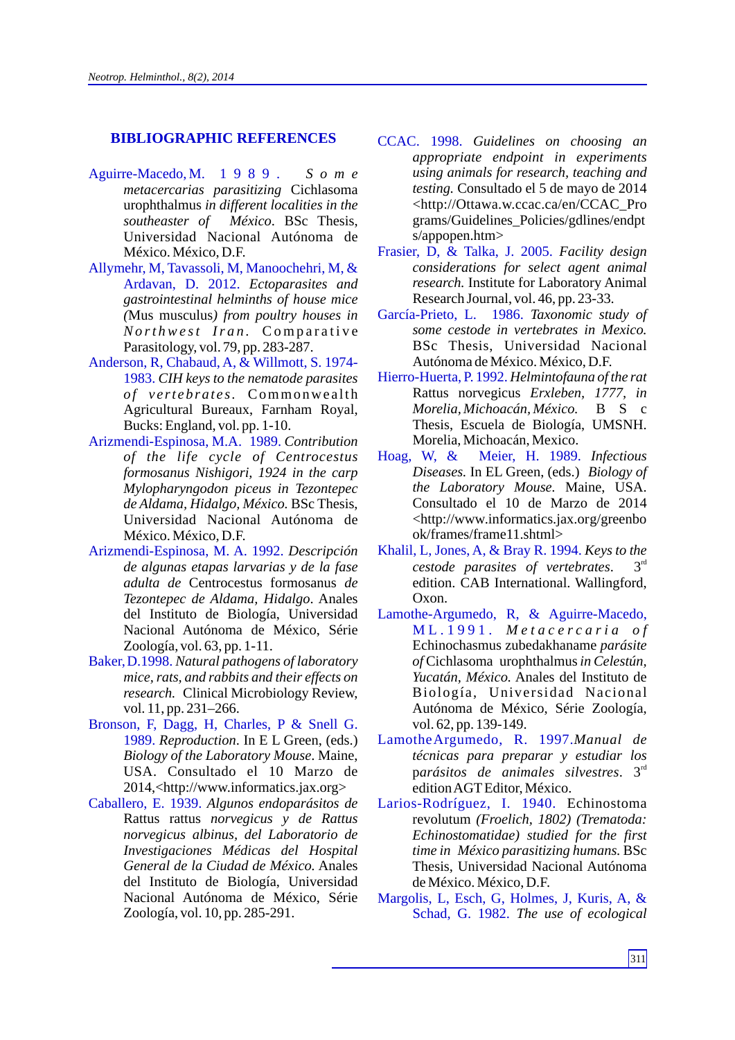#### **BIBLIOGRAPHIC REFERENCES**

- Aguirre-Macedo, M. 1989. *S o m e metacercarias parasitizing* Cichlasoma urophthalmus *in different localities in the southeaster of México*. BSc Thesis, Universidad Nacional Autónoma de México. México, D.F.
- Allymehr, M, Tavassoli, M, Manoochehri, M, & Ardavan, D. 2012. *Ectoparasites and gastrointestinal helminths of house mice (*Mus musculus*) from poultry houses in No rt hwe st Ir a n .* Co m p a r a t i v e Parasitology, vol. 79, pp. 283-287.
- Anderson, R, Chabaud, A, & Willmott, S. 1974- 1983. *CIH keys to the nematode parasites of v e rt ebrat e s.* Commonwe a lth Agricultural Bureaux, Farnham Royal, Bucks: England, vol. pp. 1-10.
- Arizmendi-Espinosa, M.A. 1989. *Contribution of the life cycle of Centrocestus formosanus Nishigori, 1924 in the carp Mylopharyngodon piceus in Tezontepec de Aldama, Hidalgo, México.* BSc Thesis, Universidad Nacional Autónoma de México. México, D.F.
- Arizmendi-Espinosa, M. A. 1992. *Descripción de algunas etapas larvarias y de la fase adulta de* Centrocestus formosanus *de Tezontepec de Aldama, Hidalgo*. Anales del Instituto de Biología, Universidad Nacional Autónoma de México, Série Zoología, vol. 63, pp. 1-11.
- Baker,D.1998. *Natural pathogens of laboratory mice, rats, and rabbits and their effects on research.* Clinical Microbiology Review, vol. 11, pp. 231–266.
- Bronson, F, Dagg, H, Charles, P & Snell G. 1989. *Reproduction*. In E L Green, (eds.) *Biology of the Laboratory Mouse*. Maine, USA. Consultado el 10 Marzo de 2014,<http://www.informatics.jax.org>
- Caballero, E. 1939. *Algunos endoparásitos de*  Rattus rattus *norvegicus y de Rattus norvegicus albinus, del Laboratorio de Investigaciones Médicas del Hospital General de la Ciudad de México.* Anales del Instituto de Biología, Universidad Nacional Autónoma de México, Série Zoología, vol. 10, pp. 285-291.
- *Guidelines on choosing an appropriate endpoint in experiments using animals for research, teaching and testing.* Consultado el 5 de mayo de 2014 <http://Ottawa.w.ccac.ca/en/CCAC\_Pro grams/Guidelines\_Policies/gdlines/endpt s/appopen.htm>
- Frasier, D, & Talka, J. 2005. *Facility design considerations for select agent animal research.* Institute for Laboratory Animal Research Journal, vol. 46, pp. 23-33.
- García-Prieto, L. 1986. *Taxonomic study of some cestode in vertebrates in Mexico.*  BSc Thesis, Universidad Nacional Autónoma de México. México, D.F.
- Hierro-Huerta, P. 1992. *Helmintofauna of the rat*  Rattus norvegicus *Erxleben, 1777, in Morelia, Michoacán, México.* B S c Thesis, Escuela de Biología, UMSNH. Morelia, Michoacán, Mexico.
- Hoag, W, & Meier, H. 1989. *Infectious Diseases.* In EL Green, (eds.) *Biology of the Laboratory Mouse.* Maine, USA. Consultado el 10 de Marzo de 2014 <http://www.informatics.jax.org/greenbo ok/frames/frame11.shtml>
- Khalil, L, Jones, A, & Bray R. 1994. *Keys to the*  cestode parasites of vertebrates. 3<sup>rd</sup> edition. CAB International. Wallingford, Oxon.
- Lamothe-Argumedo, R, & Aguirre-Macedo, M L . 1 9 9 1 . *M e t a c e r c a r i a o f* Echinochasmus zubedakhaname *parásite of* Cichlasoma urophthalmus*in Celestún, Yucatán, México.* Anales del Instituto de Biología, Universidad Nacional Autónoma de México, Série Zoología, vol. 62, pp. 139-149.
- LamotheArgumedo, R. 1997. *Manual de técnicas para preparar y estudiar los*  parásitos de animales silvestres. 3<sup>rd</sup> edition AGTEditor, México.
- Larios-Rodríguez, I. 1940. Echinostoma revolutum *(Froelich, 1802) (Trematoda: Echinostomatidae) studied for the first time in México parasitizing humans.* BSc Thesis, Universidad Nacional Autónoma de México. México, D.F.
- Margolis, L, Esch, G, Holmes, J, Kuris, A, & Schad, G. 1982. *The use of ecological*